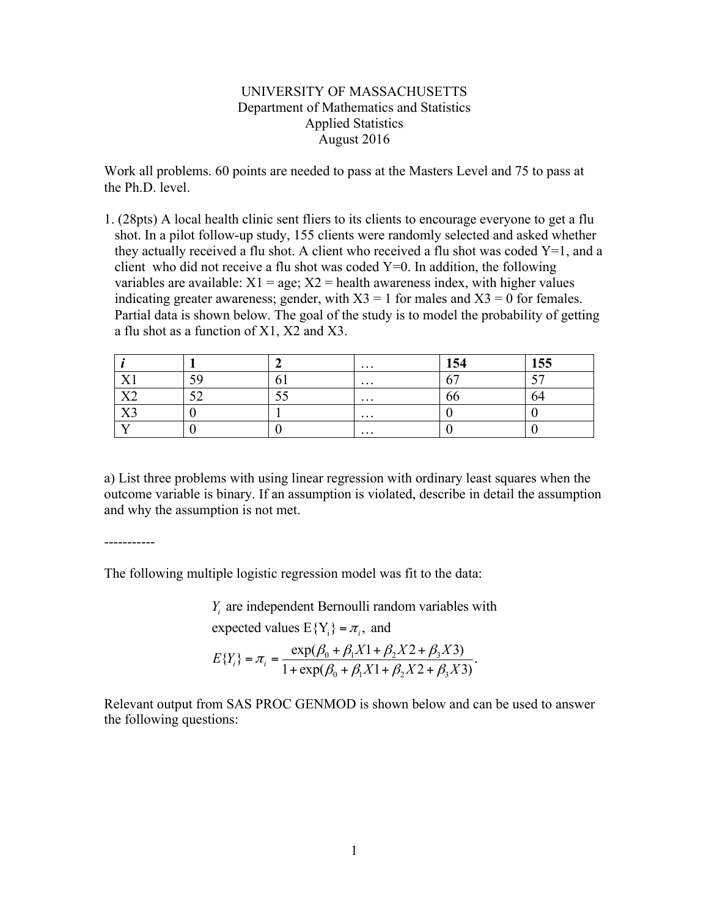## UNIVERSITY OF MASSACHUSETTS Department of Mathematics and Statistics Applied Statistics August 2016

Work all problems. 60 points are needed to pass at the Masters Level and 75 to pass at the Ph.D. level.

1. (28pts) A local health clinic sent fliers to its clients to encourage everyone to get a flu shot. In a pilot follow-up study, 155 clients were randomly selected and asked whether they actually received a flu shot. A client who received a flu shot was coded  $Y=1$ , and a client who did not receive a flu shot was coded  $Y=0$ . In addition, the following variables are available:  $X1 = age$ ;  $X2 = health$  awareness index, with higher values indicating greater awareness; gender, with  $X3 = 1$  for males and  $X3 = 0$  for females. Partial data is shown below. The goal of the study is to model the probability of getting a flu shot as a function of X1, X2 and X3.

|                                  |                                 |      | $\cdots$ | 1E<br>⊥√⊣                | 155 |
|----------------------------------|---------------------------------|------|----------|--------------------------|-----|
| T.<br><u> 1 T</u>                | 50<br>: پ                       |      | $\cdots$ | $\overline{\phantom{a}}$ | --  |
| $\mathbf{X}^{\mathcal{T}}$<br>◢◣ | $\overline{\phantom{a}}$<br>ے ب | ر. ر | $\cdots$ | oc                       |     |
| $\tau \tau \gamma$<br>777        |                                 |      | $\cdots$ |                          |     |
|                                  |                                 |      | $\cdots$ |                          |     |

a) List three problems with using linear regression with ordinary least squares when the outcome variable is binary. If an assumption is violated, describe in detail the assumption and why the assumption is not met.

-----------

The following multiple logistic regression model was fit to the data:

 $Y_i$  are independent Bernoulli random variables with

expected values  $E{Y_i} = \pi_i$ , and

$$
E\{Y_i\} = \pi_i = \frac{\exp(\beta_0 + \beta_1 X 1 + \beta_2 X 2 + \beta_3 X 3)}{1 + \exp(\beta_0 + \beta_1 X 1 + \beta_2 X 2 + \beta_3 X 3)}.
$$

Relevant output from SAS PROC GENMOD is shown below and can be used to answer the following questions: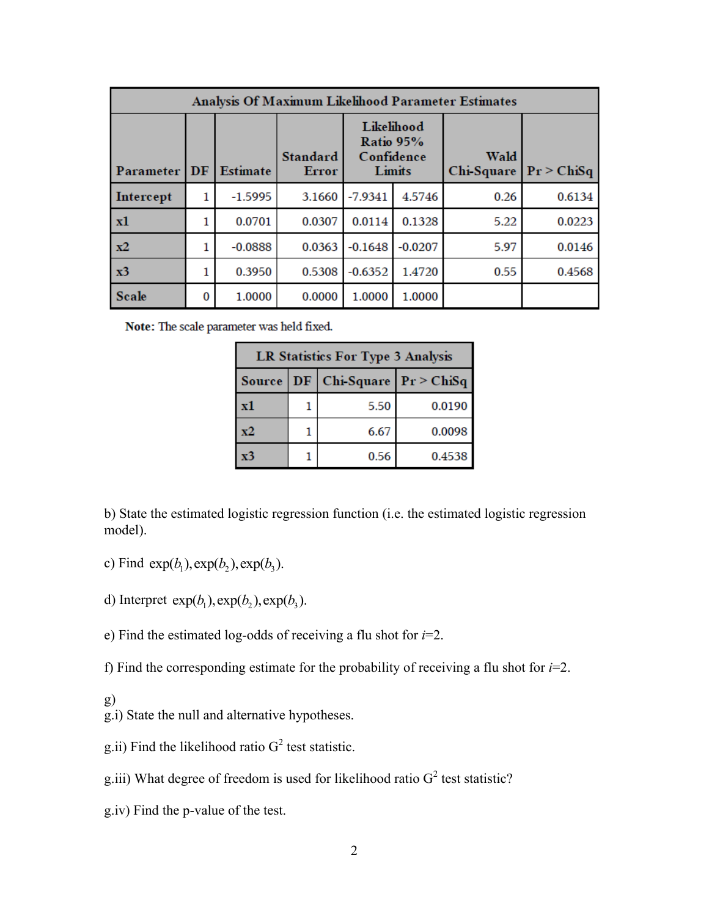| Analysis Of Maximum Likelihood Parameter Estimates |    |                 |                          |           |                                                 |                    |            |
|----------------------------------------------------|----|-----------------|--------------------------|-----------|-------------------------------------------------|--------------------|------------|
| Parameter                                          | DF | <b>Estimate</b> | <b>Standard</b><br>Error |           | Likelihood<br>Ratio 95%<br>Confidence<br>Limits | Wald<br>Chi-Square | Pr > ChiSq |
| Intercept                                          | 1  | $-1.5995$       | 3.1660                   | $-7.9341$ | 4.5746                                          | 0.26               | 0.6134     |
| x1                                                 | 1  | 0.0701          | 0.0307                   | 0.0114    | 0.1328                                          | 5.22               | 0.0223     |
| $x^2$                                              |    | $-0.0888$       | 0.0363                   | $-0.1648$ | $-0.0207$                                       | 5.97               | 0.0146     |
| x3                                                 |    | 0.3950          | 0.5308                   | $-0.6352$ | 1.4720                                          | 0.55               | 0.4568     |
| <b>Scale</b>                                       | 0  | 1.0000          | 0.0000                   | 1.0000    | 1.0000                                          |                    |            |

Note: The scale parameter was held fixed.

| <b>LR Statistics For Type 3 Analysis</b> |  |                                         |        |  |  |  |
|------------------------------------------|--|-----------------------------------------|--------|--|--|--|
|                                          |  | Source   DF   Chi-Square   $Pr$ > ChiSq |        |  |  |  |
| x1                                       |  | 5.50                                    | 0.0190 |  |  |  |
| x2                                       |  | 6.67                                    | 0.0098 |  |  |  |
| x3                                       |  | 0.56                                    | 0.4538 |  |  |  |

b) State the estimated logistic regression function (i.e. the estimated logistic regression model).

- c) Find  $exp(b_1)$ ,  $exp(b_2)$ ,  $exp(b_3)$ .
- d) Interpret  $exp(b_1)$ ,  $exp(b_2)$ ,  $exp(b_3)$ .
- e) Find the estimated log-odds of receiving a flu shot for *i*=2.

f) Find the corresponding estimate for the probability of receiving a flu shot for *i*=2.

- g)
- g.i) State the null and alternative hypotheses.
- g.ii) Find the likelihood ratio  $G<sup>2</sup>$  test statistic.
- g.iii) What degree of freedom is used for likelihood ratio  $G^2$  test statistic?
- g.iv) Find the p-value of the test.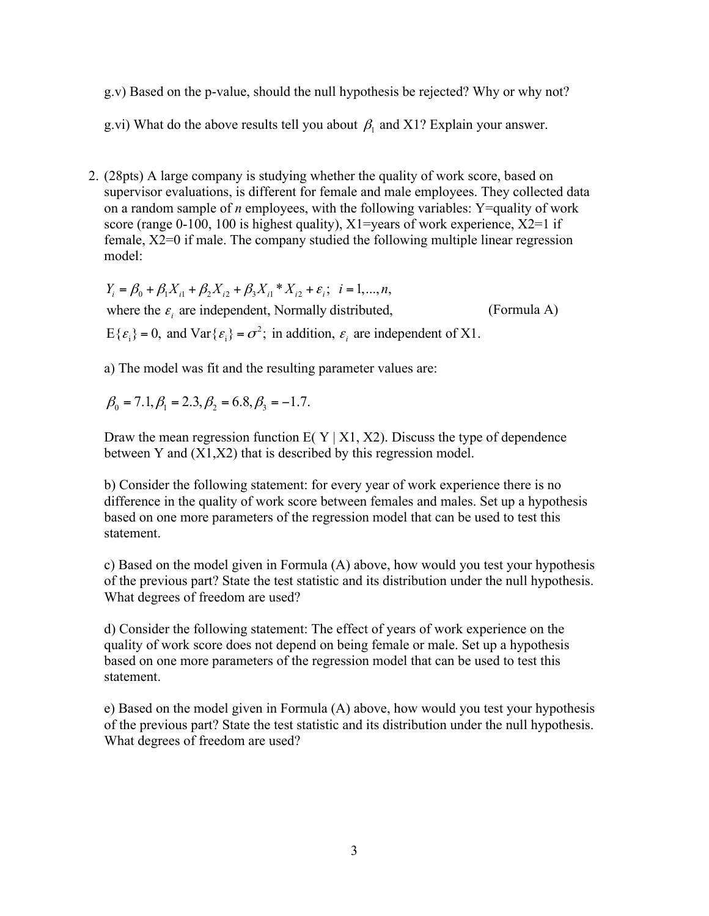g.v) Based on the p-value, should the null hypothesis be rejected? Why or why not?

g.vi) What do the above results tell you about  $\beta_1$  and X1? Explain your answer.

2. (28pts) A large company is studying whether the quality of work score, based on supervisor evaluations, is different for female and male employees. They collected data on a random sample of *n* employees, with the following variables: Y=quality of work score (range 0-100, 100 is highest quality),  $X1$ =vears of work experience,  $X2=1$  if female, X2=0 if male. The company studied the following multiple linear regression model:

$$
Y_i = \beta_0 + \beta_1 X_{i1} + \beta_2 X_{i2} + \beta_3 X_{i1} * X_{i2} + \varepsilon_i; \quad i = 1,...,n,
$$
  
where the  $\varepsilon_i$  are independent, Normally distributed,  
 $E{\{\varepsilon_i\}} = 0$ , and  $Var{\{\varepsilon_i\}} = \sigma^2$ ; in addition,  $\varepsilon_i$  are independent of X1.

a) The model was fit and the resulting parameter values are:

$$
\beta_0 = 7.1, \beta_1 = 2.3, \beta_2 = 6.8, \beta_3 = -1.7.
$$

Draw the mean regression function  $E(Y|X1, X2)$ . Discuss the type of dependence between Y and (X1,X2) that is described by this regression model.

b) Consider the following statement: for every year of work experience there is no difference in the quality of work score between females and males. Set up a hypothesis based on one more parameters of the regression model that can be used to test this statement.

c) Based on the model given in Formula (A) above, how would you test your hypothesis of the previous part? State the test statistic and its distribution under the null hypothesis. What degrees of freedom are used?

d) Consider the following statement: The effect of years of work experience on the quality of work score does not depend on being female or male. Set up a hypothesis based on one more parameters of the regression model that can be used to test this statement.

e) Based on the model given in Formula (A) above, how would you test your hypothesis of the previous part? State the test statistic and its distribution under the null hypothesis. What degrees of freedom are used?